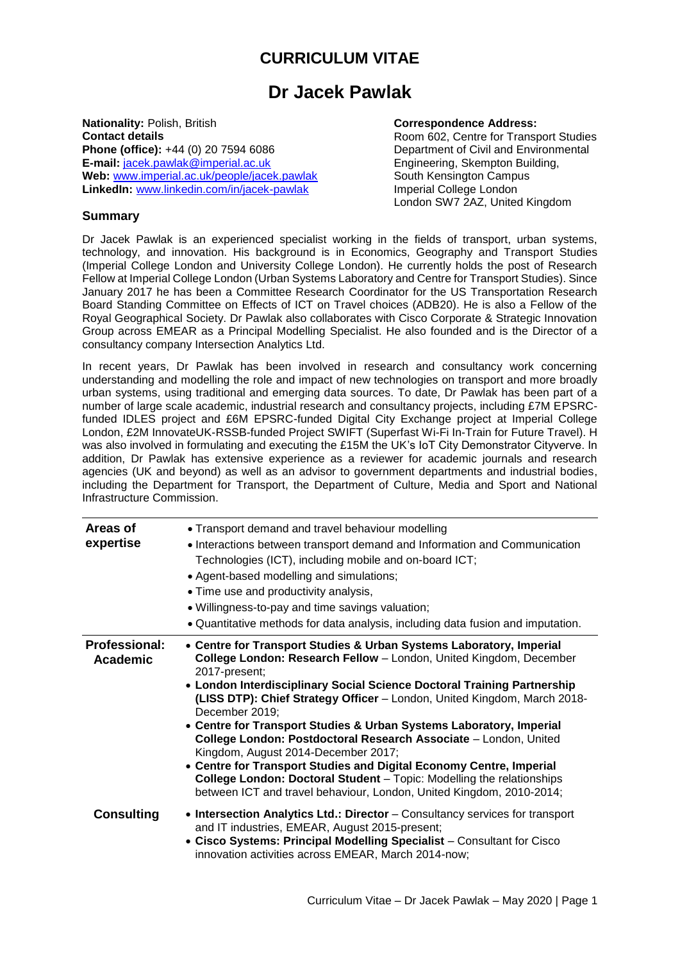## **CURRICULUM VITAE**

## **Dr Jacek Pawlak**

**Nationality:** Polish, British **Contact details Phone (office):** +44 (0) 20 7594 6086 **E-mail:** [jacek.pawlak@imperial.ac.uk](mailto:jacek.pawlak@imperial.ac.uk) **Web:** [www.imperial.ac.uk/people/jacek.pawlak](http://www.imperial.ac.uk/people/jacek.pawlak) **LinkedIn:** [www.linkedin.com/in/jacek-pawlak](http://www.linkedin.com/in/jacek-pawlak)

## **Correspondence Address:**

Room 602, Centre for Transport Studies Department of Civil and Environmental Engineering, Skempton Building, South Kensington Campus Imperial College London London SW7 2AZ, United Kingdom

## **Summary**

Dr Jacek Pawlak is an experienced specialist working in the fields of transport, urban systems, technology, and innovation. His background is in Economics, Geography and Transport Studies (Imperial College London and University College London). He currently holds the post of Research Fellow at Imperial College London (Urban Systems Laboratory and Centre for Transport Studies). Since January 2017 he has been a Committee Research Coordinator for the US Transportation Research Board Standing Committee on Effects of ICT on Travel choices (ADB20). He is also a Fellow of the Royal Geographical Society. Dr Pawlak also collaborates with Cisco Corporate & Strategic Innovation Group across EMEAR as a Principal Modelling Specialist. He also founded and is the Director of a consultancy company Intersection Analytics Ltd.

In recent years, Dr Pawlak has been involved in research and consultancy work concerning understanding and modelling the role and impact of new technologies on transport and more broadly urban systems, using traditional and emerging data sources. To date, Dr Pawlak has been part of a number of large scale academic, industrial research and consultancy projects, including £7M EPSRCfunded IDLES project and £6M EPSRC-funded Digital City Exchange project at Imperial College London, £2M InnovateUK-RSSB-funded Project SWIFT (Superfast Wi-Fi In-Train for Future Travel). H was also involved in formulating and executing the £15M the UK's IoT City Demonstrator Cityverve. In addition, Dr Pawlak has extensive experience as a reviewer for academic journals and research agencies (UK and beyond) as well as an advisor to government departments and industrial bodies, including the Department for Transport, the Department of Culture, Media and Sport and National Infrastructure Commission.

| Areas of<br>expertise                   | • Transport demand and travel behaviour modelling<br>• Interactions between transport demand and Information and Communication<br>Technologies (ICT), including mobile and on-board ICT;<br>• Agent-based modelling and simulations;<br>• Time use and productivity analysis,<br>. Willingness-to-pay and time savings valuation;<br>• Quantitative methods for data analysis, including data fusion and imputation.                                                                                                                                                                                                                                                                                                                                 |
|-----------------------------------------|------------------------------------------------------------------------------------------------------------------------------------------------------------------------------------------------------------------------------------------------------------------------------------------------------------------------------------------------------------------------------------------------------------------------------------------------------------------------------------------------------------------------------------------------------------------------------------------------------------------------------------------------------------------------------------------------------------------------------------------------------|
| <b>Professional:</b><br><b>Academic</b> | • Centre for Transport Studies & Urban Systems Laboratory, Imperial<br>College London: Research Fellow - London, United Kingdom, December<br>2017-present;<br>• London Interdisciplinary Social Science Doctoral Training Partnership<br>(LISS DTP): Chief Strategy Officer - London, United Kingdom, March 2018-<br>December 2019;<br>• Centre for Transport Studies & Urban Systems Laboratory, Imperial<br>College London: Postdoctoral Research Associate - London, United<br>Kingdom, August 2014-December 2017;<br>• Centre for Transport Studies and Digital Economy Centre, Imperial<br><b>College London: Doctoral Student</b> – Topic: Modelling the relationships<br>between ICT and travel behaviour, London, United Kingdom, 2010-2014; |
| <b>Consulting</b>                       | • Intersection Analytics Ltd.: Director - Consultancy services for transport<br>and IT industries, EMEAR, August 2015-present;<br>• Cisco Systems: Principal Modelling Specialist - Consultant for Cisco<br>innovation activities across EMEAR, March 2014-now;                                                                                                                                                                                                                                                                                                                                                                                                                                                                                      |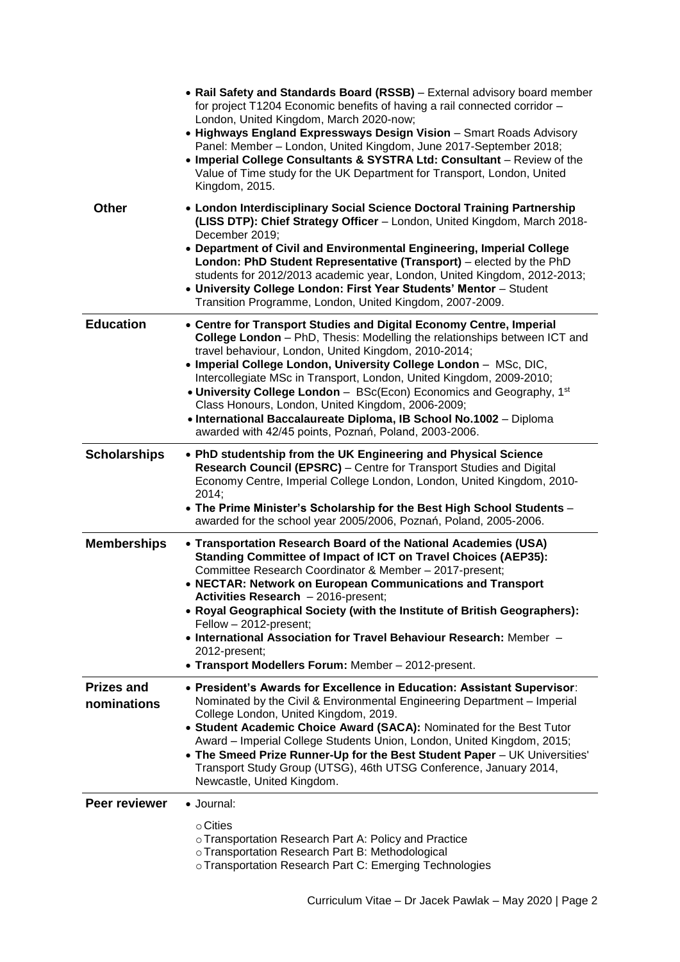|                                  | • Rail Safety and Standards Board (RSSB) - External advisory board member<br>for project T1204 Economic benefits of having a rail connected corridor -<br>London, United Kingdom, March 2020-now;<br>• Highways England Expressways Design Vision - Smart Roads Advisory<br>Panel: Member - London, United Kingdom, June 2017-September 2018;<br>• Imperial College Consultants & SYSTRA Ltd: Consultant - Review of the<br>Value of Time study for the UK Department for Transport, London, United<br>Kingdom, 2015.                                                                                            |
|----------------------------------|------------------------------------------------------------------------------------------------------------------------------------------------------------------------------------------------------------------------------------------------------------------------------------------------------------------------------------------------------------------------------------------------------------------------------------------------------------------------------------------------------------------------------------------------------------------------------------------------------------------|
| <b>Other</b>                     | • London Interdisciplinary Social Science Doctoral Training Partnership<br>(LISS DTP): Chief Strategy Officer - London, United Kingdom, March 2018-<br>December 2019;<br>• Department of Civil and Environmental Engineering, Imperial College                                                                                                                                                                                                                                                                                                                                                                   |
|                                  | London: PhD Student Representative (Transport) – elected by the PhD<br>students for 2012/2013 academic year, London, United Kingdom, 2012-2013;<br>• University College London: First Year Students' Mentor - Student<br>Transition Programme, London, United Kingdom, 2007-2009.                                                                                                                                                                                                                                                                                                                                |
| <b>Education</b>                 | • Centre for Transport Studies and Digital Economy Centre, Imperial<br>College London - PhD, Thesis: Modelling the relationships between ICT and<br>travel behaviour, London, United Kingdom, 2010-2014;<br>• Imperial College London, University College London - MSc, DIC,<br>Intercollegiate MSc in Transport, London, United Kingdom, 2009-2010;<br>• University College London - BSc(Econ) Economics and Geography, 1st<br>Class Honours, London, United Kingdom, 2006-2009;<br>• International Baccalaureate Diploma, IB School No.1002 - Diploma<br>awarded with 42/45 points, Poznań, Poland, 2003-2006. |
| <b>Scholarships</b>              | • PhD studentship from the UK Engineering and Physical Science<br>Research Council (EPSRC) - Centre for Transport Studies and Digital<br>Economy Centre, Imperial College London, London, United Kingdom, 2010-<br>2014;<br>• The Prime Minister's Scholarship for the Best High School Students -<br>awarded for the school year 2005/2006, Poznań, Poland, 2005-2006.                                                                                                                                                                                                                                          |
| <b>Memberships</b>               | • Transportation Research Board of the National Academies (USA)<br>Standing Committee of Impact of ICT on Travel Choices (AEP35):<br>Committee Research Coordinator & Member - 2017-present;<br>• NECTAR: Network on European Communications and Transport<br>Activities Research - 2016-present;<br>• Royal Geographical Society (with the Institute of British Geographers):<br>Fellow - 2012-present;<br>• International Association for Travel Behaviour Research: Member -<br>2012-present;<br>• Transport Modellers Forum: Member - 2012-present.                                                          |
| <b>Prizes and</b><br>nominations | • President's Awards for Excellence in Education: Assistant Supervisor:<br>Nominated by the Civil & Environmental Engineering Department - Imperial<br>College London, United Kingdom, 2019.<br>• Student Academic Choice Award (SACA): Nominated for the Best Tutor<br>Award - Imperial College Students Union, London, United Kingdom, 2015;<br>. The Smeed Prize Runner-Up for the Best Student Paper - UK Universities'<br>Transport Study Group (UTSG), 46th UTSG Conference, January 2014,<br>Newcastle, United Kingdom.                                                                                   |
| Peer reviewer                    | • Journal:<br>$\circ$ Cities<br>o Transportation Research Part A: Policy and Practice<br>o Transportation Research Part B: Methodological<br>o Transportation Research Part C: Emerging Technologies                                                                                                                                                                                                                                                                                                                                                                                                             |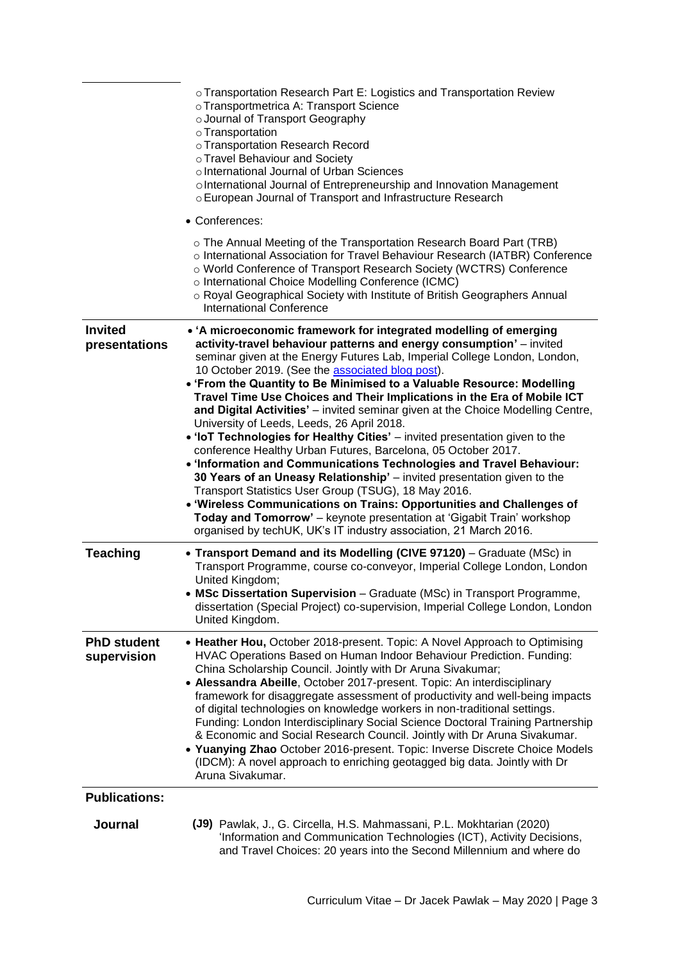|                                   | ○ Transportation Research Part E: Logistics and Transportation Review<br>o Transportmetrica A: Transport Science<br>o Journal of Transport Geography<br>o Transportation<br>o Transportation Research Record<br>o Travel Behaviour and Society<br>o International Journal of Urban Sciences<br>oInternational Journal of Entrepreneurship and Innovation Management<br>o European Journal of Transport and Infrastructure Research                                                                                                                                                                                                                                                                                                                                                                                                                                                                                                                                                                                                                                                                                                                  |
|-----------------------------------|-----------------------------------------------------------------------------------------------------------------------------------------------------------------------------------------------------------------------------------------------------------------------------------------------------------------------------------------------------------------------------------------------------------------------------------------------------------------------------------------------------------------------------------------------------------------------------------------------------------------------------------------------------------------------------------------------------------------------------------------------------------------------------------------------------------------------------------------------------------------------------------------------------------------------------------------------------------------------------------------------------------------------------------------------------------------------------------------------------------------------------------------------------|
|                                   | • Conferences:                                                                                                                                                                                                                                                                                                                                                                                                                                                                                                                                                                                                                                                                                                                                                                                                                                                                                                                                                                                                                                                                                                                                      |
|                                   | o The Annual Meeting of the Transportation Research Board Part (TRB)<br>o International Association for Travel Behaviour Research (IATBR) Conference<br>o World Conference of Transport Research Society (WCTRS) Conference<br>o International Choice Modelling Conference (ICMC)<br>o Royal Geographical Society with Institute of British Geographers Annual<br><b>International Conference</b>                                                                                                                                                                                                                                                                                                                                                                                                                                                                                                                                                                                                                                                                                                                                                   |
| <b>Invited</b><br>presentations   | • 'A microeconomic framework for integrated modelling of emerging<br>activity-travel behaviour patterns and energy consumption' - invited<br>seminar given at the Energy Futures Lab, Imperial College London, London,<br>10 October 2019. (See the associated blog post).<br>• 'From the Quantity to Be Minimised to a Valuable Resource: Modelling<br>Travel Time Use Choices and Their Implications in the Era of Mobile ICT<br>and Digital Activities' - invited seminar given at the Choice Modelling Centre,<br>University of Leeds, Leeds, 26 April 2018.<br>• 'IoT Technologies for Healthy Cities' - invited presentation given to the<br>conference Healthy Urban Futures, Barcelona, 05 October 2017.<br>. 'Information and Communications Technologies and Travel Behaviour:<br>30 Years of an Uneasy Relationship' - invited presentation given to the<br>Transport Statistics User Group (TSUG), 18 May 2016.<br>. 'Wireless Communications on Trains: Opportunities and Challenges of<br>Today and Tomorrow' - keynote presentation at 'Gigabit Train' workshop<br>organised by techUK, UK's IT industry association, 21 March 2016. |
| <b>Teaching</b>                   | • Transport Demand and its Modelling (CIVE 97120) - Graduate (MSc) in<br>Transport Programme, course co-conveyor, Imperial College London, London<br>United Kingdom;<br>• MSc Dissertation Supervision - Graduate (MSc) in Transport Programme,<br>dissertation (Special Project) co-supervision, Imperial College London, London<br>United Kingdom.                                                                                                                                                                                                                                                                                                                                                                                                                                                                                                                                                                                                                                                                                                                                                                                                |
| <b>PhD student</b><br>supervision | • Heather Hou, October 2018-present. Topic: A Novel Approach to Optimising<br>HVAC Operations Based on Human Indoor Behaviour Prediction. Funding:<br>China Scholarship Council. Jointly with Dr Aruna Sivakumar;<br>• Alessandra Abeille, October 2017-present. Topic: An interdisciplinary<br>framework for disaggregate assessment of productivity and well-being impacts<br>of digital technologies on knowledge workers in non-traditional settings.<br>Funding: London Interdisciplinary Social Science Doctoral Training Partnership<br>& Economic and Social Research Council. Jointly with Dr Aruna Sivakumar.<br>• Yuanying Zhao October 2016-present. Topic: Inverse Discrete Choice Models<br>(IDCM): A novel approach to enriching geotagged big data. Jointly with Dr<br>Aruna Sivakumar.                                                                                                                                                                                                                                                                                                                                             |
| <b>Publications:</b>              |                                                                                                                                                                                                                                                                                                                                                                                                                                                                                                                                                                                                                                                                                                                                                                                                                                                                                                                                                                                                                                                                                                                                                     |
| Journal                           | (J9) Pawlak, J., G. Circella, H.S. Mahmassani, P.L. Mokhtarian (2020)<br>'Information and Communication Technologies (ICT), Activity Decisions,<br>and Travel Choices: 20 years into the Second Millennium and where do                                                                                                                                                                                                                                                                                                                                                                                                                                                                                                                                                                                                                                                                                                                                                                                                                                                                                                                             |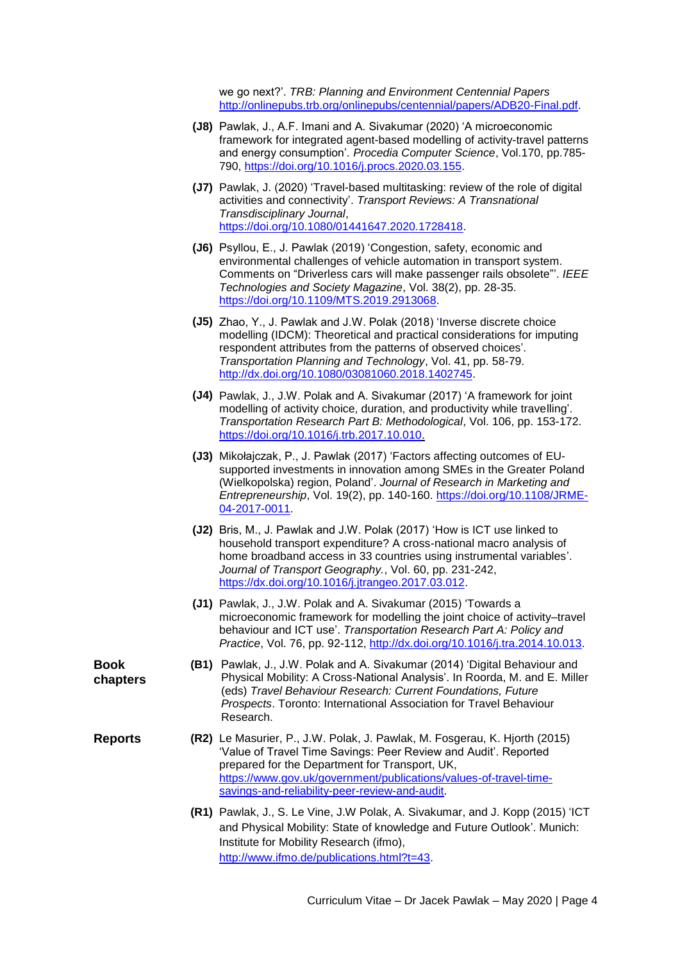we go next?'. *TRB: Planning and Environment Centennial Papers* [http://onlinepubs.trb.org/onlinepubs/centennial/papers/ADB20-Final.pdf.](http://onlinepubs.trb.org/onlinepubs/centennial/papers/ADB20-Final.pdf)

- **(J8)** Pawlak, J., A.F. Imani and A. Sivakumar (2020) 'A microeconomic framework for integrated agent-based modelling of activity-travel patterns and energy consumption'. *Procedia Computer Science*, Vol.170, pp.785- 790, [https://doi.org/10.1016/j.procs.2020.03.155.](https://doi.org/10.1016/j.procs.2020.03.155)
- **(J7)** Pawlak, J. (2020) 'Travel-based multitasking: review of the role of digital activities and connectivity'. *Transport Reviews: A Transnational Transdisciplinary Journal*, [https://doi.org/10.1080/01441647.2020.1728418.](https://doi.org/10.1080/01441647.2020.1728418)
- **(J6)** Psyllou, E., J. Pawlak (2019) 'Congestion, safety, economic and environmental challenges of vehicle automation in transport system. Comments on "Driverless cars will make passenger rails obsolete"'. *IEEE Technologies and Society Magazine*, Vol. 38(2), pp. 28-35. [https://doi.org/10.1109/MTS.2019.2913068.](https://doi.org/10.1109/MTS.2019.2913068)
- **(J5)** Zhao, Y., J. Pawlak and J.W. Polak (2018) 'Inverse discrete choice modelling (IDCM): Theoretical and practical considerations for imputing respondent attributes from the patterns of observed choices'. *Transportation Planning and Technology*, Vol. 41, pp. 58-79. [http://dx.doi.org/10.1080/03081060.2018.1402745.](http://dx.doi.org/10.1080/03081060.2018.1402745)
- **(J4)** Pawlak, J., J.W. Polak and A. Sivakumar (2017) 'A framework for joint modelling of activity choice, duration, and productivity while travelling'. *Transportation Research Part B: Methodological*, Vol. 106, pp. 153-172. [https://doi.org/10.1016/j.trb.2017.10.010.](https://doi.org/10.1016/j.trb.2017.10.010)
- **(J3)** Mikołajczak, P., J. Pawlak (2017) 'Factors affecting outcomes of EUsupported investments in innovation among SMEs in the Greater Poland (Wielkopolska) region, Poland'. *Journal of Research in Marketing and Entrepreneurship*, Vol. 19(2), pp. 140-160. [https://doi.org/10.1108/JRME-](https://doi.org/10.1108/JRME-04-2017-0011)[04-2017-0011.](https://doi.org/10.1108/JRME-04-2017-0011)
- **(J2)** Bris, M., J. Pawlak and J.W. Polak (2017) 'How is ICT use linked to household transport expenditure? A cross-national macro analysis of home broadband access in 33 countries using instrumental variables'. *Journal of Transport Geography.*, Vol. 60, pp. 231-242, [https://dx.doi.org/10.1016/j.jtrangeo.2017.03.012.](https://dx.doi.org/10.1016/j.jtrangeo.2017.03.012)
- **(J1)** Pawlak, J., J.W. Polak and A. Sivakumar (2015) 'Towards a microeconomic framework for modelling the joint choice of activity–travel behaviour and ICT use'. *Transportation Research Part A: Policy and Practice*, Vol. 76, pp. 92-112, [http://dx.doi.org/10.1016/j.tra.2014.10.013.](http://dx.doi.org/10.1016/j.tra.2014.10.013)
- **(B1)** Pawlak, J., J.W. Polak and A. Sivakumar (2014) 'Digital Behaviour and Physical Mobility: A Cross-National Analysis'. In Roorda, M. and E. Miller (eds) *Travel Behaviour Research: Current Foundations, Future Prospects*. Toronto: International Association for Travel Behaviour Research.
- **Reports (R2)** Le Masurier, P., J.W. Polak, J. Pawlak, M. Fosgerau, K. Hjorth (2015) 'Value of Travel Time Savings: Peer Review and Audit'. Reported prepared for the Department for Transport, UK, [https://www.gov.uk/government/publications/values-of-travel-time](https://www.gov.uk/government/publications/values-of-travel-time-savings-and-reliability-peer-review-and-audit)[savings-and-reliability-peer-review-and-audit.](https://www.gov.uk/government/publications/values-of-travel-time-savings-and-reliability-peer-review-and-audit)
	- **(R1)** Pawlak, J., S. Le Vine, J.W Polak, A. Sivakumar, and J. Kopp (2015) 'ICT and Physical Mobility: State of knowledge and Future Outlook'. Munich: Institute for Mobility Research (ifmo), [http://www.ifmo.de/publications.html?t=43.](http://www.ifmo.de/publications.html?t=43)

**Book chapters**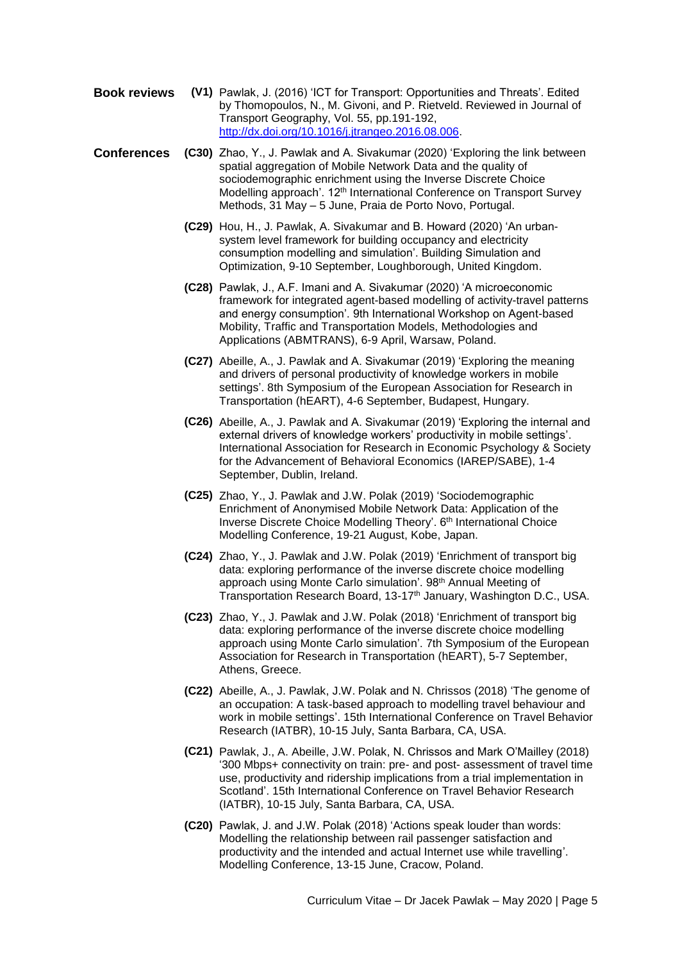- **Book reviews (V1)** Pawlak, J. (2016) 'ICT for Transport: Opportunities and Threats'. Edited by Thomopoulos, N., M. Givoni, and P. Rietveld. Reviewed in Journal of Transport Geography, Vol. 55, pp.191-192, [http://dx.doi.org/10.1016/j.jtrangeo.2016.08.006.](http://dx.doi.org/10.1016/j.jtrangeo.2016.08.006)
- **Conferences (C30)** Zhao, Y., J. Pawlak and A. Sivakumar (2020) 'Exploring the link between spatial aggregation of Mobile Network Data and the quality of sociodemographic enrichment using the Inverse Discrete Choice Modelling approach'. 12<sup>th</sup> International Conference on Transport Survey Methods, 31 May – 5 June, Praia de Porto Novo, Portugal.
	- **(C29)** Hou, H., J. Pawlak, A. Sivakumar and B. Howard (2020) 'An urbansystem level framework for building occupancy and electricity consumption modelling and simulation'. Building Simulation and Optimization, 9-10 September, Loughborough, United Kingdom.
	- **(C28)** Pawlak, J., A.F. Imani and A. Sivakumar (2020) 'A microeconomic framework for integrated agent-based modelling of activity-travel patterns and energy consumption'. 9th International Workshop on Agent-based Mobility, Traffic and Transportation Models, Methodologies and Applications (ABMTRANS), 6-9 April, Warsaw, Poland.
	- **(C27)** Abeille, A., J. Pawlak and A. Sivakumar (2019) 'Exploring the meaning and drivers of personal productivity of knowledge workers in mobile settings'. 8th Symposium of the European Association for Research in Transportation (hEART), 4-6 September, Budapest, Hungary.
	- **(C26)** Abeille, A., J. Pawlak and A. Sivakumar (2019) 'Exploring the internal and external drivers of knowledge workers' productivity in mobile settings'. International Association for Research in Economic Psychology & Society for the Advancement of Behavioral Economics (IAREP/SABE), 1-4 September, Dublin, Ireland.
	- **(C25)** Zhao, Y., J. Pawlak and J.W. Polak (2019) 'Sociodemographic Enrichment of Anonymised Mobile Network Data: Application of the Inverse Discrete Choice Modelling Theory'. 6th International Choice Modelling Conference, 19-21 August, Kobe, Japan.
	- **(C24)** Zhao, Y., J. Pawlak and J.W. Polak (2019) 'Enrichment of transport big data: exploring performance of the inverse discrete choice modelling approach using Monte Carlo simulation'. 98th Annual Meeting of Transportation Research Board, 13-17<sup>th</sup> January, Washington D.C., USA.
	- **(C23)** Zhao, Y., J. Pawlak and J.W. Polak (2018) 'Enrichment of transport big data: exploring performance of the inverse discrete choice modelling approach using Monte Carlo simulation'. 7th Symposium of the European Association for Research in Transportation (hEART), 5-7 September, Athens, Greece.
	- **(C22)** Abeille, A., J. Pawlak, J.W. Polak and N. Chrissos (2018) 'The genome of an occupation: A task-based approach to modelling travel behaviour and work in mobile settings'. 15th International Conference on Travel Behavior Research (IATBR), 10-15 July, Santa Barbara, CA, USA.
	- **(C21)** Pawlak, J., A. Abeille, J.W. Polak, N. Chrissos and Mark O'Mailley (2018) '300 Mbps+ connectivity on train: pre- and post- assessment of travel time use, productivity and ridership implications from a trial implementation in Scotland'. 15th International Conference on Travel Behavior Research (IATBR), 10-15 July, Santa Barbara, CA, USA.
	- **(C20)** Pawlak, J. and J.W. Polak (2018) 'Actions speak louder than words: Modelling the relationship between rail passenger satisfaction and productivity and the intended and actual Internet use while travelling'. Modelling Conference, 13-15 June, Cracow, Poland.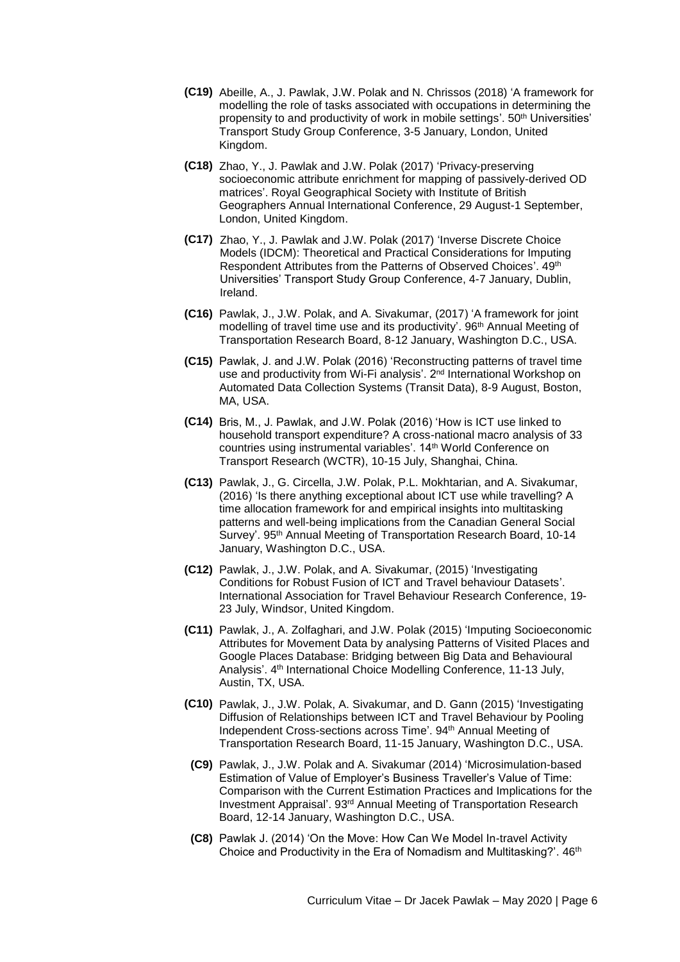- **(C19)** Abeille, A., J. Pawlak, J.W. Polak and N. Chrissos (2018) 'A framework for modelling the role of tasks associated with occupations in determining the propensity to and productivity of work in mobile settings'. 50<sup>th</sup> Universities' Transport Study Group Conference, 3-5 January, London, United Kingdom.
- **(C18)** Zhao, Y., J. Pawlak and J.W. Polak (2017) 'Privacy-preserving socioeconomic attribute enrichment for mapping of passively-derived OD matrices'. Royal Geographical Society with Institute of British Geographers Annual International Conference, 29 August-1 September, London, United Kingdom.
- **(C17)** Zhao, Y., J. Pawlak and J.W. Polak (2017) 'Inverse Discrete Choice Models (IDCM): Theoretical and Practical Considerations for Imputing Respondent Attributes from the Patterns of Observed Choices'. 49<sup>th</sup> Universities' Transport Study Group Conference, 4-7 January, Dublin, Ireland.
- **(C16)** Pawlak, J., J.W. Polak, and A. Sivakumar, (2017) 'A framework for joint modelling of travel time use and its productivity'. 96<sup>th</sup> Annual Meeting of Transportation Research Board, 8-12 January, Washington D.C., USA.
- **(C15)** Pawlak, J. and J.W. Polak (2016) 'Reconstructing patterns of travel time use and productivity from Wi-Fi analysis'. 2<sup>nd</sup> International Workshop on Automated Data Collection Systems (Transit Data), 8-9 August, Boston, MA, USA.
- **(C14)** Bris, M., J. Pawlak, and J.W. Polak (2016) 'How is ICT use linked to household transport expenditure? A cross-national macro analysis of 33 countries using instrumental variables'. 14<sup>th</sup> World Conference on Transport Research (WCTR), 10-15 July, Shanghai, China.
- **(C13)** Pawlak, J., G. Circella, J.W. Polak, P.L. Mokhtarian, and A. Sivakumar, (2016) 'Is there anything exceptional about ICT use while travelling? A time allocation framework for and empirical insights into multitasking patterns and well-being implications from the Canadian General Social Survey'. 95th Annual Meeting of Transportation Research Board, 10-14 January, Washington D.C., USA.
- **(C12)** Pawlak, J., J.W. Polak, and A. Sivakumar, (2015) 'Investigating Conditions for Robust Fusion of ICT and Travel behaviour Datasets'. International Association for Travel Behaviour Research Conference, 19- 23 July, Windsor, United Kingdom.
- **(C11)** Pawlak, J., A. Zolfaghari, and J.W. Polak (2015) 'Imputing Socioeconomic Attributes for Movement Data by analysing Patterns of Visited Places and Google Places Database: Bridging between Big Data and Behavioural Analysis'. 4<sup>th</sup> International Choice Modelling Conference, 11-13 July, Austin, TX, USA.
- **(C10)** Pawlak, J., J.W. Polak, A. Sivakumar, and D. Gann (2015) 'Investigating Diffusion of Relationships between ICT and Travel Behaviour by Pooling Independent Cross-sections across Time'. 94th Annual Meeting of Transportation Research Board, 11-15 January, Washington D.C., USA.
	- **(C9)** Pawlak, J., J.W. Polak and A. Sivakumar (2014) 'Microsimulation-based Estimation of Value of Employer's Business Traveller's Value of Time: Comparison with the Current Estimation Practices and Implications for the Investment Appraisal'. 93<sup>rd</sup> Annual Meeting of Transportation Research Board, 12-14 January, Washington D.C., USA.
	- **(C8)** Pawlak J. (2014) 'On the Move: How Can We Model In-travel Activity Choice and Productivity in the Era of Nomadism and Multitasking?'. 46<sup>th</sup>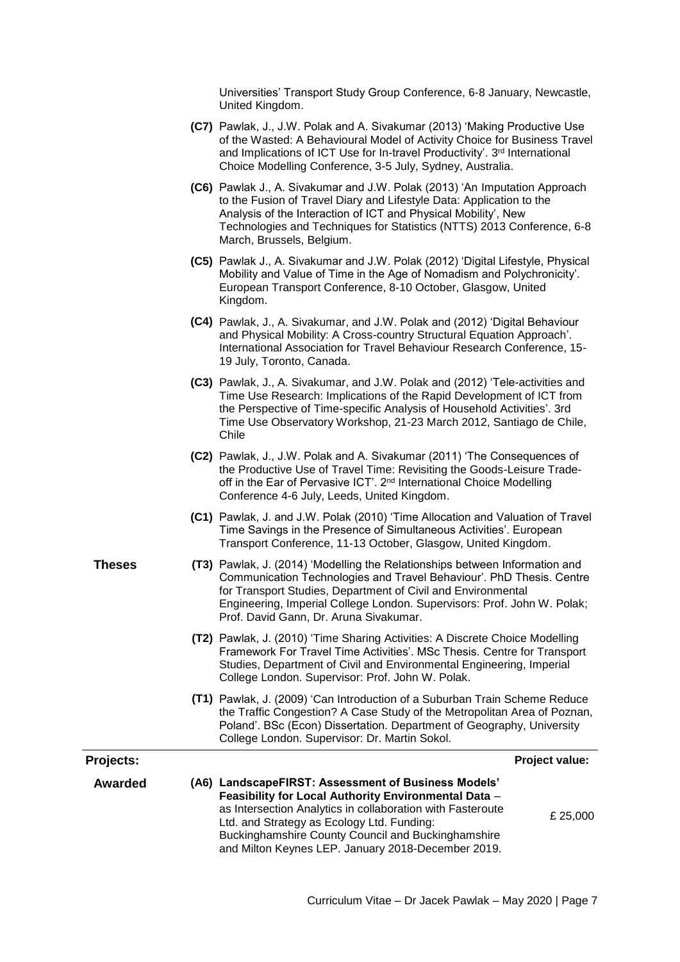Universities' Transport Study Group Conference, 6-8 January, Newcastle, United Kingdom.

- **(C7)** Pawlak, J., J.W. Polak and A. Sivakumar (2013) 'Making Productive Use of the Wasted: A Behavioural Model of Activity Choice for Business Travel and Implications of ICT Use for In-travel Productivity'. 3<sup>rd</sup> International Choice Modelling Conference, 3-5 July, Sydney, Australia.
- **(C6)** Pawlak J., A. Sivakumar and J.W. Polak (2013) 'An Imputation Approach to the Fusion of Travel Diary and Lifestyle Data: Application to the Analysis of the Interaction of ICT and Physical Mobility', New Technologies and Techniques for Statistics (NTTS) 2013 Conference, 6-8 March, Brussels, Belgium.
- **(C5)** Pawlak J., A. Sivakumar and J.W. Polak (2012) 'Digital Lifestyle, Physical Mobility and Value of Time in the Age of Nomadism and Polychronicity'. European Transport Conference, 8-10 October, Glasgow, United Kingdom.
- **(C4)** Pawlak, J., A. Sivakumar, and J.W. Polak and (2012) 'Digital Behaviour and Physical Mobility: A Cross-country Structural Equation Approach'. International Association for Travel Behaviour Research Conference, 15- 19 July, Toronto, Canada.
- **(C3)** Pawlak, J., A. Sivakumar, and J.W. Polak and (2012) 'Tele-activities and Time Use Research: Implications of the Rapid Development of ICT from the Perspective of Time-specific Analysis of Household Activities'. 3rd Time Use Observatory Workshop, 21-23 March 2012, Santiago de Chile, Chile
- **(C2)** Pawlak, J., J.W. Polak and A. Sivakumar (2011) 'The Consequences of the Productive Use of Travel Time: Revisiting the Goods-Leisure Tradeoff in the Ear of Pervasive ICT'. 2<sup>nd</sup> International Choice Modelling Conference 4-6 July, Leeds, United Kingdom.
- **(C1)** Pawlak, J. and J.W. Polak (2010) 'Time Allocation and Valuation of Travel Time Savings in the Presence of Simultaneous Activities'. European Transport Conference, 11-13 October, Glasgow, United Kingdom.
- **Theses (T3)** Pawlak, J. (2014) 'Modelling the Relationships between Information and Communication Technologies and Travel Behaviour'. PhD Thesis. Centre for Transport Studies, Department of Civil and Environmental Engineering, Imperial College London. Supervisors: Prof. John W. Polak; Prof. David Gann, Dr. Aruna Sivakumar.
	- **(T2)** Pawlak, J. (2010) 'Time Sharing Activities: A Discrete Choice Modelling Framework For Travel Time Activities'. MSc Thesis. Centre for Transport Studies, Department of Civil and Environmental Engineering, Imperial College London. Supervisor: Prof. John W. Polak.
	- **(T1)** Pawlak, J. (2009) 'Can Introduction of a Suburban Train Scheme Reduce the Traffic Congestion? A Case Study of the Metropolitan Area of Poznan, Poland'. BSc (Econ) Dissertation. Department of Geography, University College London. Supervisor: Dr. Martin Sokol.

**Projects: Projects: Projection** 

**Awarded (A6) LandscapeFIRST: Assessment of Business Models' Feasibility for Local Authority Environmental Data** – as Intersection Analytics in collaboration with Fasteroute Ltd. and Strategy as Ecology Ltd. Funding: Buckinghamshire County Council and Buckinghamshire and Milton Keynes LEP. January 2018-December 2019. £ 25,000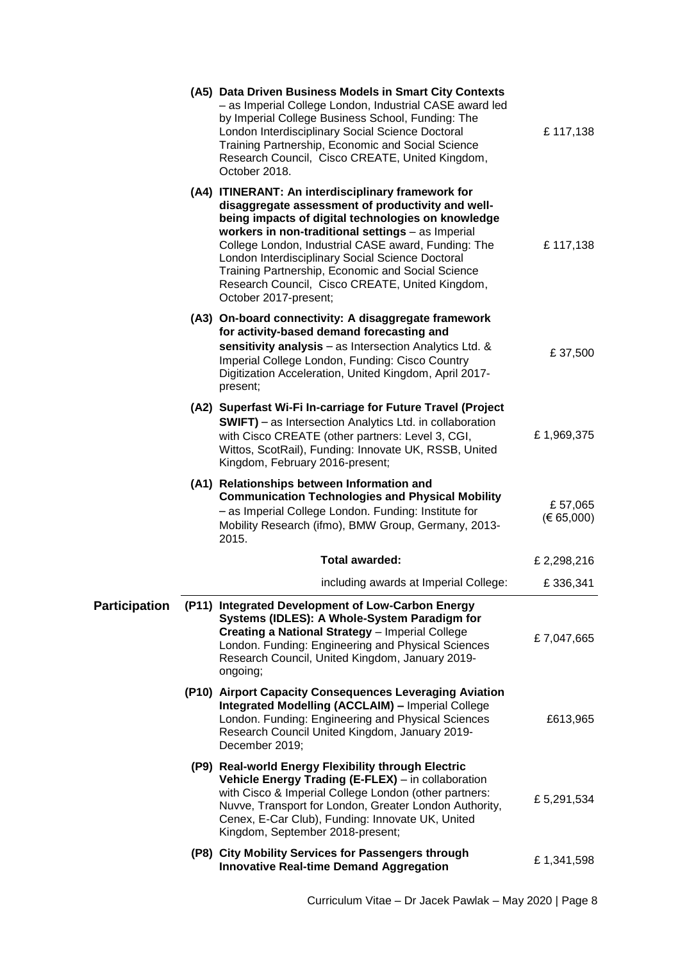|                      | (A5) Data Driven Business Models in Smart City Contexts<br>- as Imperial College London, Industrial CASE award led<br>by Imperial College Business School, Funding: The<br>London Interdisciplinary Social Science Doctoral<br>Training Partnership, Economic and Social Science<br>Research Council, Cisco CREATE, United Kingdom,<br>October 2018.                                                                                                           | £117,138                  |
|----------------------|----------------------------------------------------------------------------------------------------------------------------------------------------------------------------------------------------------------------------------------------------------------------------------------------------------------------------------------------------------------------------------------------------------------------------------------------------------------|---------------------------|
|                      | (A4) ITINERANT: An interdisciplinary framework for<br>disaggregate assessment of productivity and well-<br>being impacts of digital technologies on knowledge<br>workers in non-traditional settings - as Imperial<br>College London, Industrial CASE award, Funding: The<br>London Interdisciplinary Social Science Doctoral<br>Training Partnership, Economic and Social Science<br>Research Council, Cisco CREATE, United Kingdom,<br>October 2017-present; | £117,138                  |
|                      | (A3) On-board connectivity: A disaggregate framework<br>for activity-based demand forecasting and<br>sensitivity analysis - as Intersection Analytics Ltd. &<br>Imperial College London, Funding: Cisco Country<br>Digitization Acceleration, United Kingdom, April 2017-<br>present;                                                                                                                                                                          | £37,500                   |
|                      | (A2) Superfast Wi-Fi In-carriage for Future Travel (Project<br><b>SWIFT)</b> – as Intersection Analytics Ltd. in collaboration<br>with Cisco CREATE (other partners: Level 3, CGI,<br>Wittos, ScotRail), Funding: Innovate UK, RSSB, United<br>Kingdom, February 2016-present;                                                                                                                                                                                 | £1,969,375                |
|                      | (A1) Relationships between Information and<br><b>Communication Technologies and Physical Mobility</b><br>- as Imperial College London. Funding: Institute for<br>Mobility Research (ifmo), BMW Group, Germany, 2013-<br>2015.                                                                                                                                                                                                                                  | £57,065<br>$(\in 65,000)$ |
|                      |                                                                                                                                                                                                                                                                                                                                                                                                                                                                |                           |
|                      | Total awarded:                                                                                                                                                                                                                                                                                                                                                                                                                                                 | £2,298,216                |
|                      | including awards at Imperial College:                                                                                                                                                                                                                                                                                                                                                                                                                          | £336,341                  |
| <b>Participation</b> | (P11) Integrated Development of Low-Carbon Energy<br>Systems (IDLES): A Whole-System Paradigm for<br><b>Creating a National Strategy - Imperial College</b><br>London. Funding: Engineering and Physical Sciences<br>Research Council, United Kingdom, January 2019-<br>ongoing;                                                                                                                                                                               | £7,047,665                |
|                      | (P10) Airport Capacity Consequences Leveraging Aviation<br><b>Integrated Modelling (ACCLAIM) - Imperial College</b><br>London. Funding: Engineering and Physical Sciences<br>Research Council United Kingdom, January 2019-<br>December 2019;                                                                                                                                                                                                                  | £613,965                  |
|                      | (P9) Real-world Energy Flexibility through Electric<br>Vehicle Energy Trading (E-FLEX) - in collaboration<br>with Cisco & Imperial College London (other partners:<br>Nuvve, Transport for London, Greater London Authority,<br>Cenex, E-Car Club), Funding: Innovate UK, United<br>Kingdom, September 2018-present;                                                                                                                                           | £5,291,534                |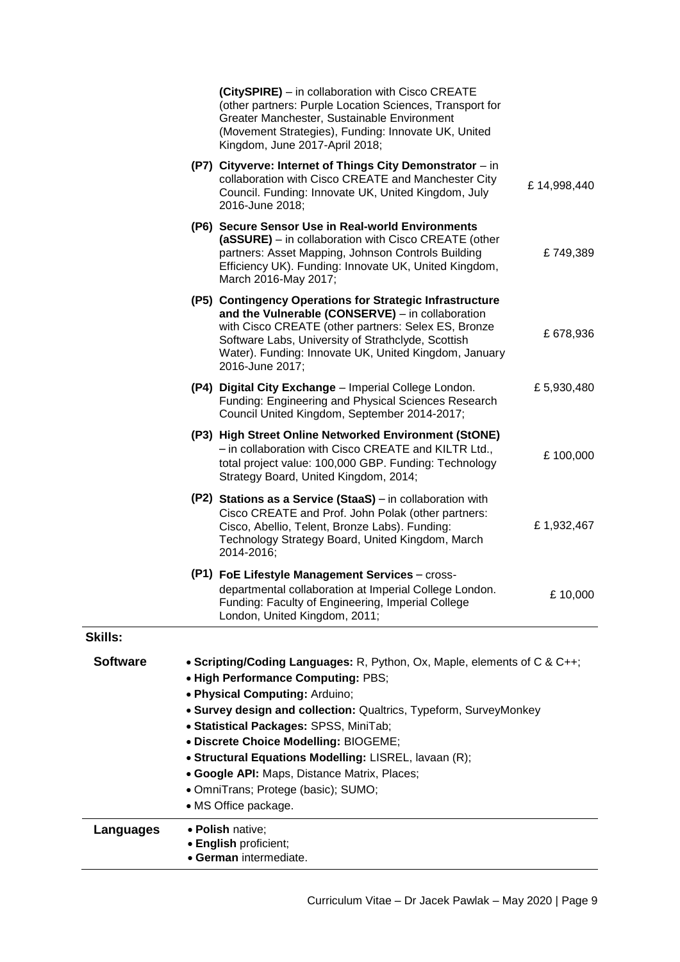|                 |                                                                                                                                                                                                                                                                                                                                                                                                                                                                                  | (CitySPIRE) - in collaboration with Cisco CREATE<br>(other partners: Purple Location Sciences, Transport for<br>Greater Manchester, Sustainable Environment<br>(Movement Strategies), Funding: Innovate UK, United<br>Kingdom, June 2017-April 2018;                                                  |             |
|-----------------|----------------------------------------------------------------------------------------------------------------------------------------------------------------------------------------------------------------------------------------------------------------------------------------------------------------------------------------------------------------------------------------------------------------------------------------------------------------------------------|-------------------------------------------------------------------------------------------------------------------------------------------------------------------------------------------------------------------------------------------------------------------------------------------------------|-------------|
|                 |                                                                                                                                                                                                                                                                                                                                                                                                                                                                                  | (P7) Cityverve: Internet of Things City Demonstrator - in<br>collaboration with Cisco CREATE and Manchester City<br>Council. Funding: Innovate UK, United Kingdom, July<br>2016-June 2018;                                                                                                            | £14,998,440 |
|                 |                                                                                                                                                                                                                                                                                                                                                                                                                                                                                  | (P6) Secure Sensor Use in Real-world Environments<br>(aSSURE) - in collaboration with Cisco CREATE (other<br>partners: Asset Mapping, Johnson Controls Building<br>Efficiency UK). Funding: Innovate UK, United Kingdom,<br>March 2016-May 2017;                                                      | £749,389    |
|                 |                                                                                                                                                                                                                                                                                                                                                                                                                                                                                  | (P5) Contingency Operations for Strategic Infrastructure<br>and the Vulnerable (CONSERVE) - in collaboration<br>with Cisco CREATE (other partners: Selex ES, Bronze<br>Software Labs, University of Strathclyde, Scottish<br>Water). Funding: Innovate UK, United Kingdom, January<br>2016-June 2017; | £678,936    |
|                 |                                                                                                                                                                                                                                                                                                                                                                                                                                                                                  | (P4) Digital City Exchange - Imperial College London.<br>Funding: Engineering and Physical Sciences Research<br>Council United Kingdom, September 2014-2017;                                                                                                                                          | £5,930,480  |
|                 |                                                                                                                                                                                                                                                                                                                                                                                                                                                                                  | (P3) High Street Online Networked Environment (StONE)<br>- in collaboration with Cisco CREATE and KILTR Ltd.,<br>total project value: 100,000 GBP. Funding: Technology<br>Strategy Board, United Kingdom, 2014;                                                                                       | £100,000    |
|                 |                                                                                                                                                                                                                                                                                                                                                                                                                                                                                  | (P2) Stations as a Service (StaaS) – in collaboration with<br>Cisco CREATE and Prof. John Polak (other partners:<br>Cisco, Abellio, Telent, Bronze Labs). Funding:<br>Technology Strategy Board, United Kingdom, March<br>2014-2016;                                                                  | £1,932,467  |
|                 |                                                                                                                                                                                                                                                                                                                                                                                                                                                                                  | (P1) FoE Lifestyle Management Services - cross-<br>departmental collaboration at Imperial College London.<br>Funding: Faculty of Engineering, Imperial College<br>London, United Kingdom, 2011;                                                                                                       | £10,000     |
| <b>Skills:</b>  |                                                                                                                                                                                                                                                                                                                                                                                                                                                                                  |                                                                                                                                                                                                                                                                                                       |             |
| <b>Software</b> | • Scripting/Coding Languages: R, Python, Ox, Maple, elements of C & C++;<br>. High Performance Computing: PBS;<br>· Physical Computing: Arduino;<br>• Survey design and collection: Qualtrics, Typeform, SurveyMonkey<br>• Statistical Packages: SPSS, MiniTab;<br>· Discrete Choice Modelling: BIOGEME;<br>• Structural Equations Modelling: LISREL, lavaan (R);<br>• Google API: Maps, Distance Matrix, Places;<br>· OmniTrans; Protege (basic); SUMO;<br>• MS Office package. |                                                                                                                                                                                                                                                                                                       |             |
| Languages       |                                                                                                                                                                                                                                                                                                                                                                                                                                                                                  | · Polish native;<br>• English proficient;<br>· German intermediate.                                                                                                                                                                                                                                   |             |